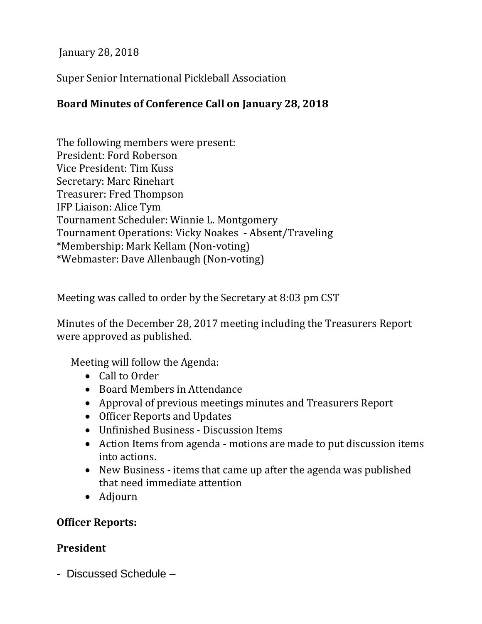January 28, 2018

Super Senior International Pickleball Association

## **Board Minutes of Conference Call on January 28, 2018**

The following members were present: President: Ford Roberson Vice President: Tim Kuss Secretary: Marc Rinehart Treasurer: Fred Thompson IFP Liaison: Alice Tym Tournament Scheduler: Winnie L. Montgomery Tournament Operations: Vicky Noakes - Absent/Traveling \*Membership: Mark Kellam (Non-voting) \*Webmaster: Dave Allenbaugh (Non-voting)

Meeting was called to order by the Secretary at 8:03 pm CST

Minutes of the December 28, 2017 meeting including the Treasurers Report were approved as published.

Meeting will follow the Agenda:

- Call to Order
- Board Members in Attendance
- Approval of previous meetings minutes and Treasurers Report
- Officer Reports and Updates
- Unfinished Business Discussion Items
- Action Items from agenda motions are made to put discussion items into actions.
- New Business items that came up after the agenda was published that need immediate attention
- Adjourn

## **Officer Reports:**

### **President**

- Discussed Schedule –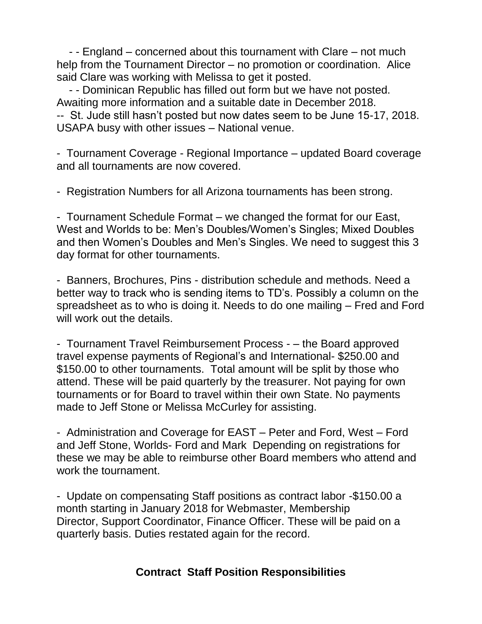- - England – concerned about this tournament with Clare – not much help from the Tournament Director – no promotion or coordination. Alice said Clare was working with Melissa to get it posted.

 - - Dominican Republic has filled out form but we have not posted. Awaiting more information and a suitable date in December 2018.

-- St. Jude still hasn't posted but now dates seem to be June 15-17, 2018. USAPA busy with other issues – National venue.

- Tournament Coverage - Regional Importance – updated Board coverage and all tournaments are now covered.

- Registration Numbers for all Arizona tournaments has been strong.

- Tournament Schedule Format – we changed the format for our East, West and Worlds to be: Men's Doubles/Women's Singles; Mixed Doubles and then Women's Doubles and Men's Singles. We need to suggest this 3 day format for other tournaments.

- Banners, Brochures, Pins - distribution schedule and methods. Need a better way to track who is sending items to TD's. Possibly a column on the spreadsheet as to who is doing it. Needs to do one mailing – Fred and Ford will work out the details.

- Tournament Travel Reimbursement Process - – the Board approved travel expense payments of Regional's and International- \$250.00 and \$150.00 to other tournaments. Total amount will be split by those who attend. These will be paid quarterly by the treasurer. Not paying for own tournaments or for Board to travel within their own State. No payments made to Jeff Stone or Melissa McCurley for assisting.

- Administration and Coverage for EAST – Peter and Ford, West – Ford and Jeff Stone, Worlds- Ford and Mark Depending on registrations for these we may be able to reimburse other Board members who attend and work the tournament.

- Update on compensating Staff positions as contract labor -\$150.00 a month starting in January 2018 for Webmaster, Membership Director, Support Coordinator, Finance Officer. These will be paid on a quarterly basis. Duties restated again for the record.

### **Contract Staff Position Responsibilities**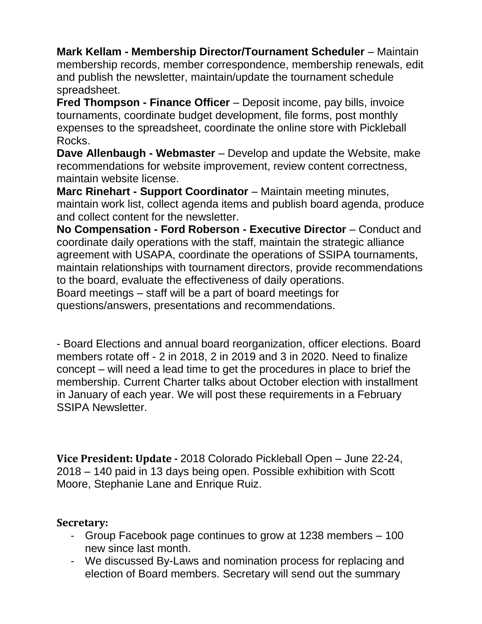**Mark Kellam - Membership Director/Tournament Scheduler** – Maintain membership records, member correspondence, membership renewals, edit and publish the newsletter, maintain/update the tournament schedule spreadsheet.

**Fred Thompson - Finance Officer** – Deposit income, pay bills, invoice tournaments, coordinate budget development, file forms, post monthly expenses to the spreadsheet, coordinate the online store with Pickleball Rocks.

**Dave Allenbaugh - Webmaster** – Develop and update the Website, make recommendations for website improvement, review content correctness, maintain website license.

**Marc Rinehart - Support Coordinator** – Maintain meeting minutes, maintain work list, collect agenda items and publish board agenda, produce and collect content for the newsletter.

**No Compensation - Ford Roberson - Executive Director** – Conduct and coordinate daily operations with the staff, maintain the strategic alliance agreement with USAPA, coordinate the operations of SSIPA tournaments, maintain relationships with tournament directors, provide recommendations to the board, evaluate the effectiveness of daily operations. Board meetings – staff will be a part of board meetings for

questions/answers, presentations and recommendations.

- Board Elections and annual board reorganization, officer elections. Board members rotate off - 2 in 2018, 2 in 2019 and 3 in 2020. Need to finalize concept – will need a lead time to get the procedures in place to brief the membership. Current Charter talks about October election with installment in January of each year. We will post these requirements in a February SSIPA Newsletter.

**Vice President: Update -** 2018 Colorado Pickleball Open – June 22-24, 2018 – 140 paid in 13 days being open. Possible exhibition with Scott Moore, Stephanie Lane and Enrique Ruiz.

### **Secretary:**

- Group Facebook page continues to grow at 1238 members 100 new since last month.
- We discussed By-Laws and nomination process for replacing and election of Board members. Secretary will send out the summary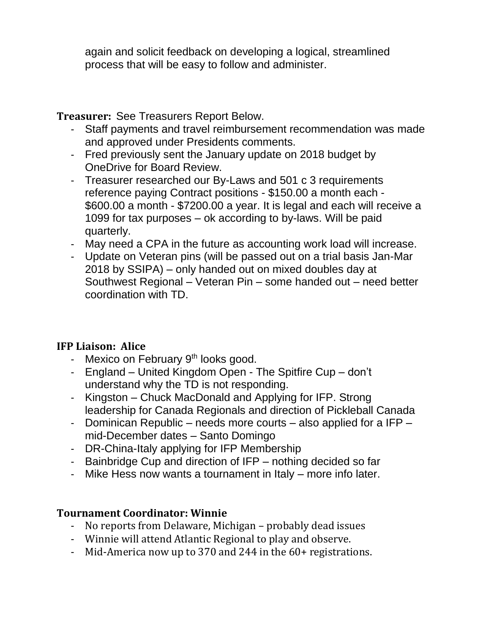again and solicit feedback on developing a logical, streamlined process that will be easy to follow and administer.

**Treasurer:** See Treasurers Report Below.

- Staff payments and travel reimbursement recommendation was made and approved under Presidents comments.
- Fred previously sent the January update on 2018 budget by OneDrive for Board Review.
- Treasurer researched our By-Laws and 501 c 3 requirements reference paying Contract positions - \$150.00 a month each - \$600.00 a month - \$7200.00 a year. It is legal and each will receive a 1099 for tax purposes – ok according to by-laws. Will be paid quarterly.
- May need a CPA in the future as accounting work load will increase.
- Update on Veteran pins (will be passed out on a trial basis Jan-Mar 2018 by SSIPA) – only handed out on mixed doubles day at Southwest Regional – Veteran Pin – some handed out – need better coordination with TD.

# **IFP Liaison: Alice**

- Mexico on February 9<sup>th</sup> looks good.
- England United Kingdom Open The Spitfire Cup don't understand why the TD is not responding.
- Kingston Chuck MacDonald and Applying for IFP. Strong leadership for Canada Regionals and direction of Pickleball Canada
- Dominican Republic needs more courts also applied for a IFP mid-December dates – Santo Domingo
- DR-China-Italy applying for IFP Membership
- Bainbridge Cup and direction of IFP nothing decided so far
- Mike Hess now wants a tournament in Italy more info later.

## **Tournament Coordinator: Winnie**

- No reports from Delaware, Michigan probably dead issues
- Winnie will attend Atlantic Regional to play and observe.
- Mid-America now up to 370 and 244 in the 60+ registrations.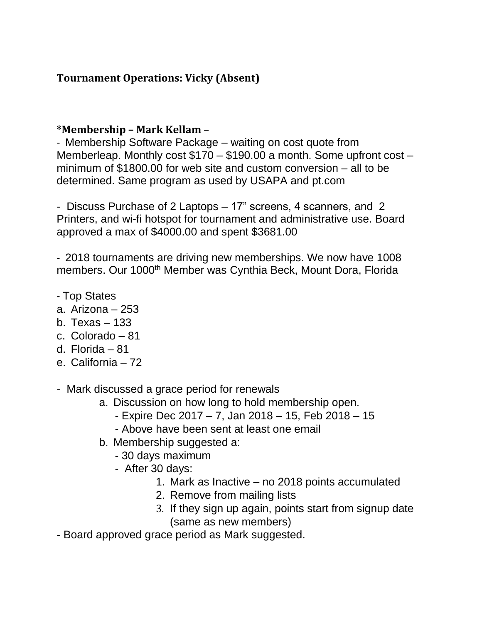## **Tournament Operations: Vicky (Absent)**

### **\*Membership – Mark Kellam** –

- Membership Software Package – waiting on cost quote from Memberleap. Monthly cost \$170 – \$190.00 a month. Some upfront cost – minimum of \$1800.00 for web site and custom conversion – all to be determined. Same program as used by USAPA and pt.com

- Discuss Purchase of 2 Laptops – 17" screens, 4 scanners, and 2 Printers, and wi-fi hotspot for tournament and administrative use. Board approved a max of \$4000.00 and spent \$3681.00

- 2018 tournaments are driving new memberships. We now have 1008 members. Our 1000<sup>th</sup> Member was Cynthia Beck, Mount Dora, Florida

- Top States
- a. Arizona 253
- b. Texas 133
- c. Colorado 81
- d. Florida 81
- e. California 72
- Mark discussed a grace period for renewals
	- a. Discussion on how long to hold membership open.
		- Expire Dec 2017 7, Jan 2018 15, Feb 2018 15
		- Above have been sent at least one email
	- b. Membership suggested a:
		- 30 days maximum
		- After 30 days:
			- 1. Mark as Inactive no 2018 points accumulated
			- 2. Remove from mailing lists
			- 3. If they sign up again, points start from signup date (same as new members)
- Board approved grace period as Mark suggested.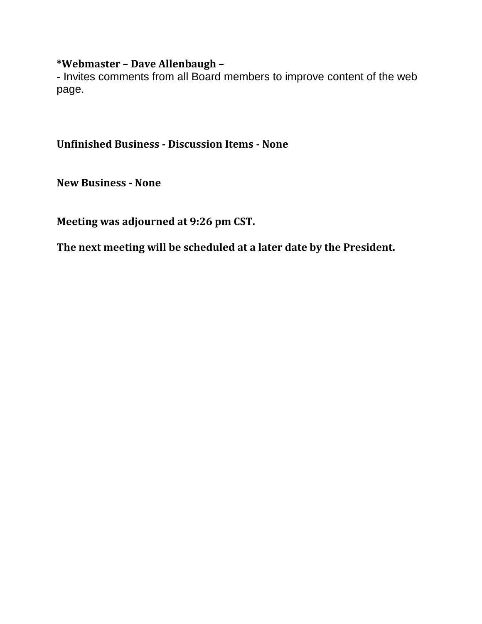#### **\*Webmaster – Dave Allenbaugh –**

- Invites comments from all Board members to improve content of the web page.

**Unfinished Business - Discussion Items - None**

**New Business - None**

**Meeting was adjourned at 9:26 pm CST.**

**The next meeting will be scheduled at a later date by the President.**